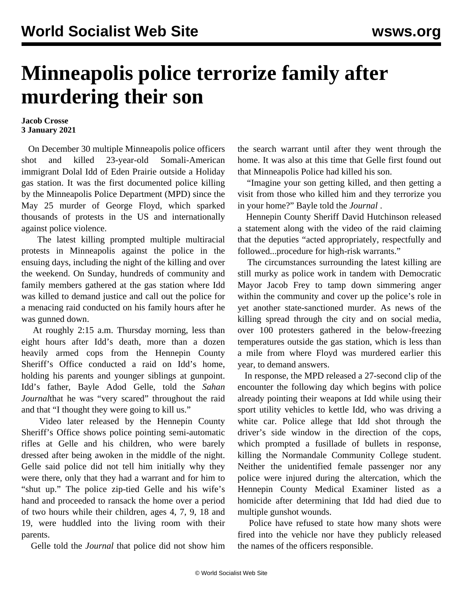## **Minneapolis police terrorize family after murdering their son**

## **Jacob Crosse 3 January 2021**

 On December 30 multiple Minneapolis police officers shot and killed 23-year-old Somali-American immigrant Dolal Idd of Eden Prairie outside a Holiday gas station. It was the first documented police killing by the Minneapolis Police Department (MPD) since the May 25 murder of George Floyd, which sparked thousands of protests in the US and internationally against police violence.

 The latest killing prompted multiple multiracial protests in Minneapolis against the police in the ensuing days, including the night of the killing and over the weekend. On Sunday, hundreds of community and family members gathered at the gas station where Idd was killed to [demand](https://twitter.com/drnaimo/status/1345894858377076738) [justice](https://twitter.com/drnaimo/status/1345894858377076738) and call out the police for a menacing raid conducted on his family hours after he was gunned down.

 At roughly 2:15 a.m. Thursday morning, less than eight hours after Idd's death, more than a dozen heavily armed cops from the Hennepin County Sheriff's Office [conducted](https://www.youtube.com/watch?v=-gKyaZ7d9xs) [a raid on Idd's](https://www.youtube.com/watch?v=-gKyaZ7d9xs) home, holding his parents and younger siblings at gunpoint. Idd's father, Bayle Adod Gelle, told the *Sahan Journal*that he was "very scared" throughout the raid and that "I thought they were going to kill us."

 Video later released by the Hennepin County Sheriff's Office shows police pointing semi-automatic rifles at Gelle and his children, who were barely dressed after being awoken in the middle of the night. Gelle said police did not tell him initially why they were there, only that they had a warrant and for him to "shut up." The police zip-tied Gelle and his wife's hand and proceeded to ransack the home over a period of two hours while their children, ages 4, 7, 9, 18 and 19, were huddled into the living room with their parents.

Gelle told the *Journal* that police did not show him

the search warrant until after they went through the home. It was also at this time that Gelle first found out that Minneapolis Police had killed his son.

 "Imagine your son getting killed, and then getting a visit from those who killed him and they terrorize you in your home?" Bayle told the *Journal* .

 Hennepin County Sheriff David Hutchinson released a statement along with the video of the raid claiming that the deputies "acted appropriately, respectfully and followed...procedure for high-risk warrants."

 The circumstances surrounding the latest killing are still murky as police work in tandem with Democratic Mayor Jacob Frey to tamp down simmering anger within the community and cover up the police's role in yet another state-sanctioned murder. As news of the killing spread through the city and on social media, over 100 protesters gathered in the below-freezing temperatures outside the gas station, which is less than a mile from where Floyd was murdered earlier this year, to demand answers.

 In response, the MPD released a [27-second](https://www.youtube.com/watch?v=gBTPdCtjBxY&bpctr=1609717464) [clip](https://www.youtube.com/watch?v=gBTPdCtjBxY&bpctr=1609717464) of the encounter the following day which begins with police already pointing their weapons at Idd while using their sport utility vehicles to kettle Idd, who was driving a white car. Police allege that Idd shot through the driver's side window in the direction of the cops, which prompted a fusillade of bullets in response, killing the Normandale Community College student. Neither the unidentified female passenger nor any police were injured during the altercation, which the Hennepin County Medical Examiner listed as a homicide after determining that Idd had died due to multiple gunshot wounds.

 Police have refused to state how many shots were fired into the vehicle nor have they publicly released the names of the officers responsible.